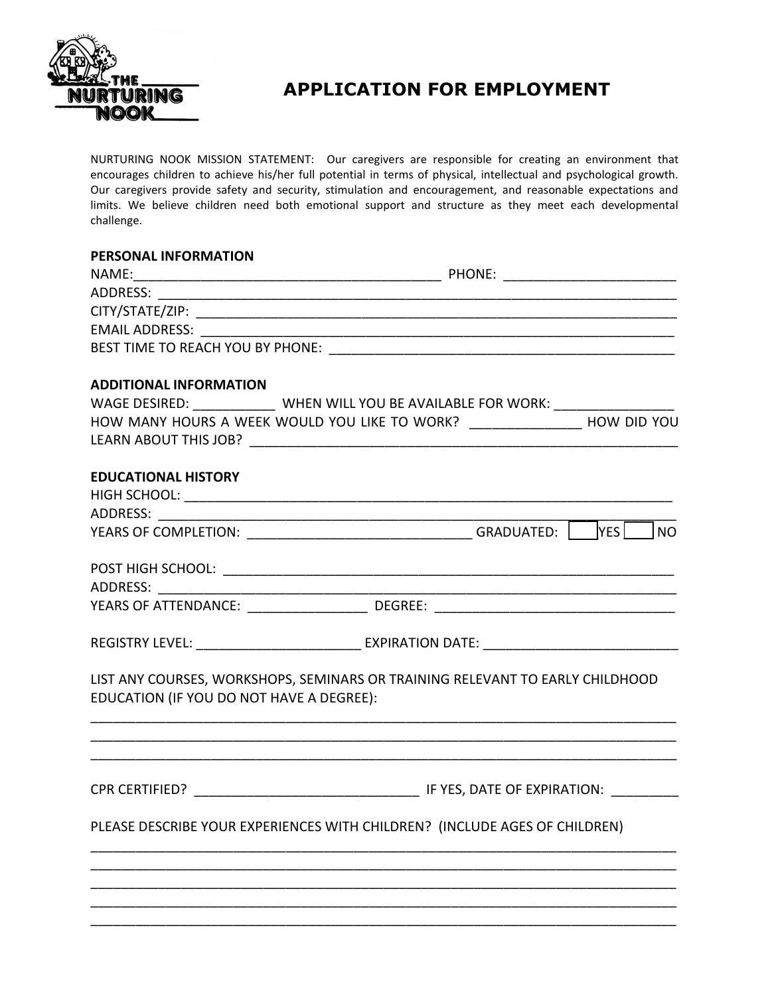

## **APPLICATION FOR EMPLOYMENT**

NURTURING NOOK MISSION STATEMENT: Our caregivers are responsible for creating an environment that encourages children to achieve his/her full potential in terms of physical, intellectual and psychological growth. Our caregivers provide safety and security, stimulation and encouragement, and reasonable expectations and limits. We believe children need both emotional support and structure as they meet each developmental challenge.

## **PERSONAL INFORMATION**

| <b>ADDITIONAL INFORMATION</b>            |                                                                                                                       |  |
|------------------------------------------|-----------------------------------------------------------------------------------------------------------------------|--|
|                                          | WAGE DESIRED: ______________ WHEN WILL YOU BE AVAILABLE FOR WORK: ______________                                      |  |
|                                          | HOW MANY HOURS A WEEK WOULD YOU LIKE TO WORK? __________________ HOW DID YOU                                          |  |
|                                          |                                                                                                                       |  |
| <b>EDUCATIONAL HISTORY</b>               |                                                                                                                       |  |
|                                          |                                                                                                                       |  |
|                                          |                                                                                                                       |  |
|                                          |                                                                                                                       |  |
|                                          |                                                                                                                       |  |
|                                          |                                                                                                                       |  |
|                                          |                                                                                                                       |  |
|                                          | REGISTRY LEVEL: ____________________________ EXPIRATION DATE: ___________________                                     |  |
|                                          |                                                                                                                       |  |
| EDUCATION (IF YOU DO NOT HAVE A DEGREE): | LIST ANY COURSES, WORKSHOPS, SEMINARS OR TRAINING RELEVANT TO EARLY CHILDHOOD                                         |  |
|                                          | <u> 1989 - Johann Stoff, deutscher Stoff, der Stoff, der Stoff, der Stoff, der Stoff, der Stoff, der Stoff, der S</u> |  |
|                                          |                                                                                                                       |  |
|                                          |                                                                                                                       |  |
|                                          |                                                                                                                       |  |
|                                          | PLEASE DESCRIBE YOUR EXPERIENCES WITH CHILDREN? (INCLUDE AGES OF CHILDREN)                                            |  |
|                                          |                                                                                                                       |  |
|                                          |                                                                                                                       |  |
|                                          |                                                                                                                       |  |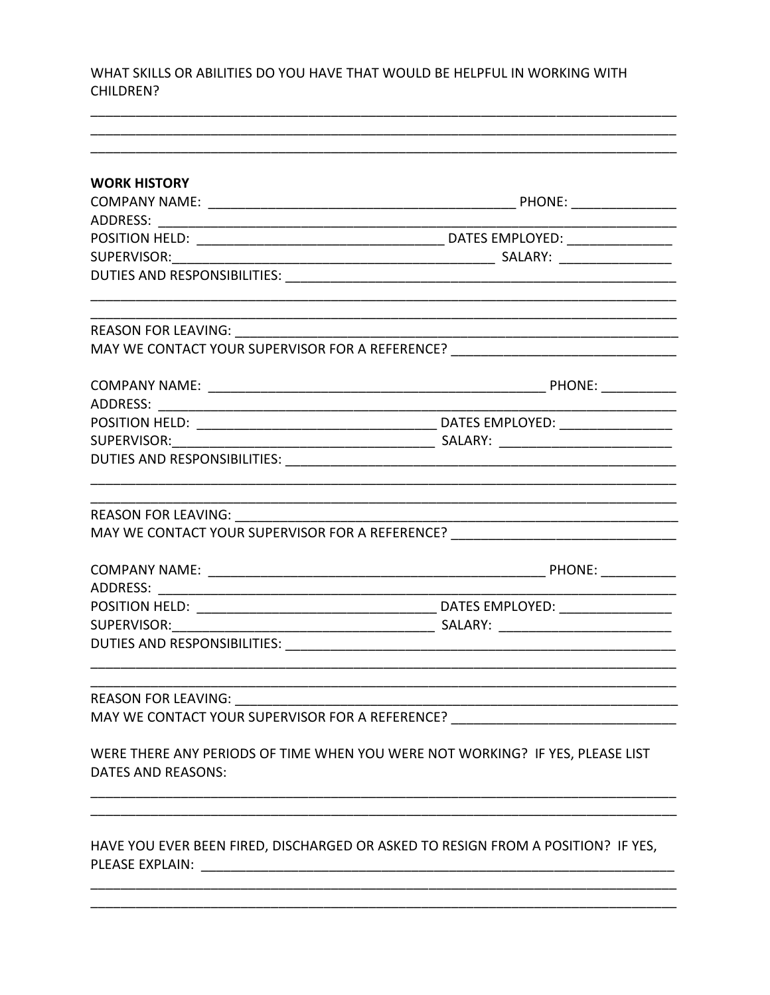WHAT SKILLS OR ABILITIES DO YOU HAVE THAT WOULD BE HELPFUL IN WORKING WITH CHILDREN?

| <b>WORK HISTORY</b>                                                                                        |                                                                                                                      |  |  |
|------------------------------------------------------------------------------------------------------------|----------------------------------------------------------------------------------------------------------------------|--|--|
|                                                                                                            |                                                                                                                      |  |  |
|                                                                                                            |                                                                                                                      |  |  |
|                                                                                                            |                                                                                                                      |  |  |
|                                                                                                            |                                                                                                                      |  |  |
|                                                                                                            |                                                                                                                      |  |  |
|                                                                                                            |                                                                                                                      |  |  |
|                                                                                                            | MAY WE CONTACT YOUR SUPERVISOR FOR A REFERENCE? ________________________________                                     |  |  |
|                                                                                                            |                                                                                                                      |  |  |
|                                                                                                            |                                                                                                                      |  |  |
| SUPERVISOR: SUPERVISOR                                                                                     |                                                                                                                      |  |  |
|                                                                                                            |                                                                                                                      |  |  |
|                                                                                                            | <u> 2000 - 2000 - 2000 - 2000 - 2000 - 2000 - 2000 - 2000 - 2000 - 2000 - 2000 - 2000 - 2000 - 2000 - 2000 - 200</u> |  |  |
|                                                                                                            | MAY WE CONTACT YOUR SUPERVISOR FOR A REFERENCE? ________________________________                                     |  |  |
|                                                                                                            |                                                                                                                      |  |  |
|                                                                                                            |                                                                                                                      |  |  |
|                                                                                                            |                                                                                                                      |  |  |
|                                                                                                            |                                                                                                                      |  |  |
|                                                                                                            |                                                                                                                      |  |  |
| <b>REASON FOR LEAVING:</b>                                                                                 |                                                                                                                      |  |  |
| MAY WE CONTACT YOUR SUPERVISOR FOR A REFERENCE?                                                            |                                                                                                                      |  |  |
| WERE THERE ANY PERIODS OF TIME WHEN YOU WERE NOT WORKING? IF YES, PLEASE LIST<br><b>DATES AND REASONS:</b> |                                                                                                                      |  |  |
| PLEASE EXPLAIN:                                                                                            | HAVE YOU EVER BEEN FIRED, DISCHARGED OR ASKED TO RESIGN FROM A POSITION? IF YES,                                     |  |  |